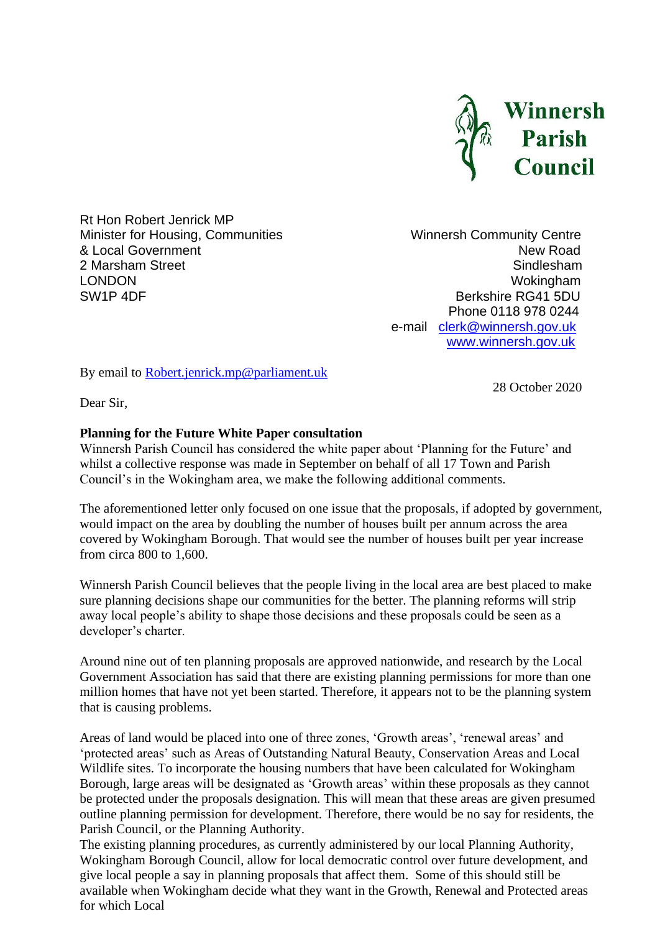

Rt Hon Robert Jenrick MP Minister for Housing, Communities Minister for Housing, Communities Winnersh Community Centre<br> **A** Local Government New Road & Local Government 2 Marsham Street Sindlesham Street Sindlesham Street Sindlesham Street Sindlesham LONDON Wokingham SW1P 4DF Berkshire RG41 5DU

 Phone 0118 978 0244 e-mail [clerk@winnersh.gov.uk](mailto:clerk@winnersh.gov.uk) [www.winnersh.gov.uk](http://www.winnersh.gov.uk/)

By email to [Robert.jenrick.mp@parliament.uk](mailto:Robert.jenrick.mp@parliament.uk)

28 October 2020

Dear Sir,

## **Planning for the Future White Paper consultation**

Winnersh Parish Council has considered the white paper about 'Planning for the Future' and whilst a collective response was made in September on behalf of all 17 Town and Parish Council's in the Wokingham area, we make the following additional comments.

The aforementioned letter only focused on one issue that the proposals, if adopted by government, would impact on the area by doubling the number of houses built per annum across the area covered by Wokingham Borough. That would see the number of houses built per year increase from circa 800 to 1,600.

Winnersh Parish Council believes that the people living in the local area are best placed to make sure planning decisions shape our communities for the better. The planning reforms will strip away local people's ability to shape those decisions and these proposals could be seen as a developer's charter.

Around nine out of ten planning proposals are approved nationwide, and research by the Local Government Association has said that there are existing planning permissions for more than one million homes that have not yet been started. Therefore, it appears not to be the planning system that is causing problems.

Areas of land would be placed into one of three zones, 'Growth areas', 'renewal areas' and 'protected areas' such as Areas of Outstanding Natural Beauty, Conservation Areas and Local Wildlife sites. To incorporate the housing numbers that have been calculated for Wokingham Borough, large areas will be designated as 'Growth areas' within these proposals as they cannot be protected under the proposals designation. This will mean that these areas are given presumed outline planning permission for development. Therefore, there would be no say for residents, the Parish Council, or the Planning Authority.

The existing planning procedures, as currently administered by our local Planning Authority, Wokingham Borough Council, allow for local democratic control over future development, and give local people a say in planning proposals that affect them. Some of this should still be available when Wokingham decide what they want in the Growth, Renewal and Protected areas for which Local